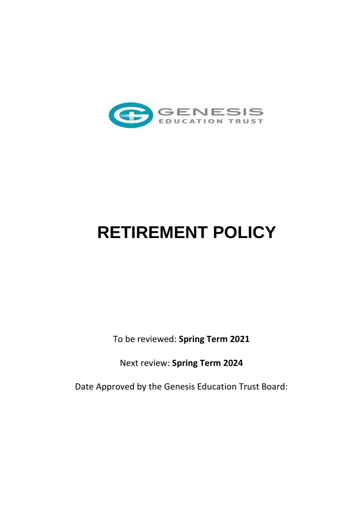

# **RETIREMENT POLICY**

To be reviewed: **Spring Term 2021**

Next review: **Spring Term 2024**

Date Approved by the Genesis Education Trust Board: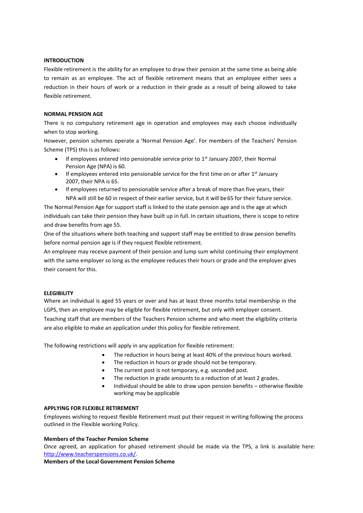## **INTRODUCTION**

Flexible retirement is the ability for an employee to draw their pension at the same time as being able to remain as an employee. The act of flexible retirement means that an employee either sees a reduction in their hours of work or a reduction in their grade as a result of being allowed to take flexible retirement.

## **NORMAL PENSION AGE**

There is no compulsory retirement age in operation and employees may each choose individually when to stop working.

However, pension schemes operate a 'Normal Pension Age'. For members of the Teachers' Pension Scheme (TPS) this is as follows:

- $\bullet$  If employees entered into pensionable service prior to 1<sup>st</sup> January 2007, their Normal Pension Age (NPA) is 60.
- If employees entered into pensionable service for the first time on or after 1<sup>st</sup> January 2007, their NPA is 65.
- If employees returned to pensionable service after a break of more than five years, their NPA will still be 60 in respect of their earlier service, but it will be65 for their future service.

The Normal Pension Age for support staff is linked to the state pension age and is the age at which individuals can take their pension they have built up in full. In certain situations, there is scope to retire and draw benefits from age 55.

One of the situations where both teaching and support staff may be entitled to draw pension benefits before normal pension age is if they request flexible retirement.

An employee may receive payment of their pension and lump sum whilst continuing their employment with the same employer so long as the employee reduces their hours or grade and the employer gives their consent for this.

#### **ELEGIBILITY**

Where an individual is aged 55 years or over and has at least three months total membership in the LGPS, then an employee may be eligible for flexible retirement, but only with employer consent. Teaching staff that are members of the Teachers Pension scheme and who meet the eligibility criteria are also eligible to make an application under this policy for flexible retirement.

The following restrictions will apply in any application for flexible retirement:

- The reduction in hours being at least 40% of the previous hours worked.
- The reduction in hours or grade should not be temporary.
- The current post is not temporary, e.g. seconded post.
- The reduction in grade amounts to a reduction of at least 2 grades.
- Individual should be able to draw upon pension benefits otherwise flexible working may be applicable

#### **APPLYING FOR FLEXIBLE RETIREMENT**

Employees wishing to request flexible Retirement must put their request in writing following the process outlined in the Flexible working Policy.

## **Members of the Teacher Pension Scheme**

Once agreed, an application for phased retirement should be made via the TPS, a link is available here: [http://www.teacherspensions.co.uk/.](http://www.teacherspensions.co.uk/)

**Members of the Local Government Pension Scheme**